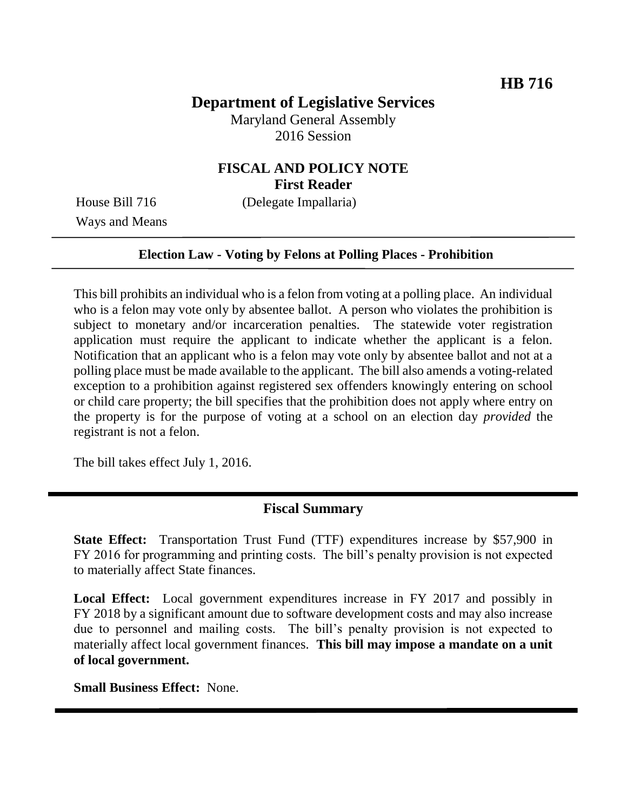# **Department of Legislative Services**

Maryland General Assembly 2016 Session

### **FISCAL AND POLICY NOTE First Reader**

House Bill 716 (Delegate Impallaria)

Ways and Means

#### **Election Law - Voting by Felons at Polling Places - Prohibition**

This bill prohibits an individual who is a felon from voting at a polling place. An individual who is a felon may vote only by absentee ballot. A person who violates the prohibition is subject to monetary and/or incarceration penalties. The statewide voter registration application must require the applicant to indicate whether the applicant is a felon. Notification that an applicant who is a felon may vote only by absentee ballot and not at a polling place must be made available to the applicant. The bill also amends a voting-related exception to a prohibition against registered sex offenders knowingly entering on school or child care property; the bill specifies that the prohibition does not apply where entry on the property is for the purpose of voting at a school on an election day *provided* the registrant is not a felon.

The bill takes effect July 1, 2016.

### **Fiscal Summary**

**State Effect:** Transportation Trust Fund (TTF) expenditures increase by \$57,900 in FY 2016 for programming and printing costs. The bill's penalty provision is not expected to materially affect State finances.

**Local Effect:** Local government expenditures increase in FY 2017 and possibly in FY 2018 by a significant amount due to software development costs and may also increase due to personnel and mailing costs. The bill's penalty provision is not expected to materially affect local government finances. **This bill may impose a mandate on a unit of local government.**

**Small Business Effect:** None.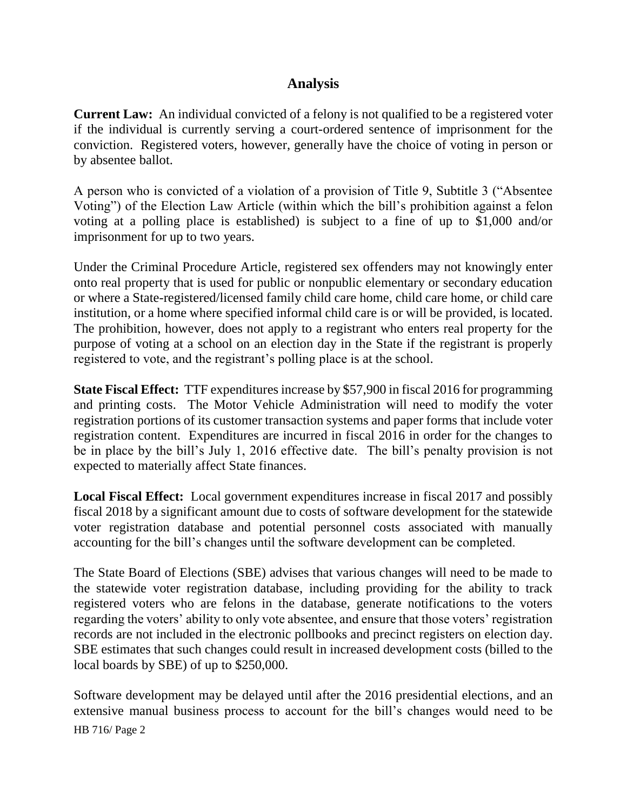### **Analysis**

**Current Law:** An individual convicted of a felony is not qualified to be a registered voter if the individual is currently serving a court-ordered sentence of imprisonment for the conviction. Registered voters, however, generally have the choice of voting in person or by absentee ballot.

A person who is convicted of a violation of a provision of Title 9, Subtitle 3 ("Absentee Voting") of the Election Law Article (within which the bill's prohibition against a felon voting at a polling place is established) is subject to a fine of up to \$1,000 and/or imprisonment for up to two years.

Under the Criminal Procedure Article, registered sex offenders may not knowingly enter onto real property that is used for public or nonpublic elementary or secondary education or where a State-registered/licensed family child care home, child care home, or child care institution, or a home where specified informal child care is or will be provided, is located. The prohibition, however, does not apply to a registrant who enters real property for the purpose of voting at a school on an election day in the State if the registrant is properly registered to vote, and the registrant's polling place is at the school.

**State Fiscal Effect:** TTF expenditures increase by \$57,900 in fiscal 2016 for programming and printing costs. The Motor Vehicle Administration will need to modify the voter registration portions of its customer transaction systems and paper forms that include voter registration content. Expenditures are incurred in fiscal 2016 in order for the changes to be in place by the bill's July 1, 2016 effective date. The bill's penalty provision is not expected to materially affect State finances.

**Local Fiscal Effect:** Local government expenditures increase in fiscal 2017 and possibly fiscal 2018 by a significant amount due to costs of software development for the statewide voter registration database and potential personnel costs associated with manually accounting for the bill's changes until the software development can be completed.

The State Board of Elections (SBE) advises that various changes will need to be made to the statewide voter registration database, including providing for the ability to track registered voters who are felons in the database, generate notifications to the voters regarding the voters' ability to only vote absentee, and ensure that those voters' registration records are not included in the electronic pollbooks and precinct registers on election day. SBE estimates that such changes could result in increased development costs (billed to the local boards by SBE) of up to \$250,000.

HB 716/ Page 2 Software development may be delayed until after the 2016 presidential elections, and an extensive manual business process to account for the bill's changes would need to be